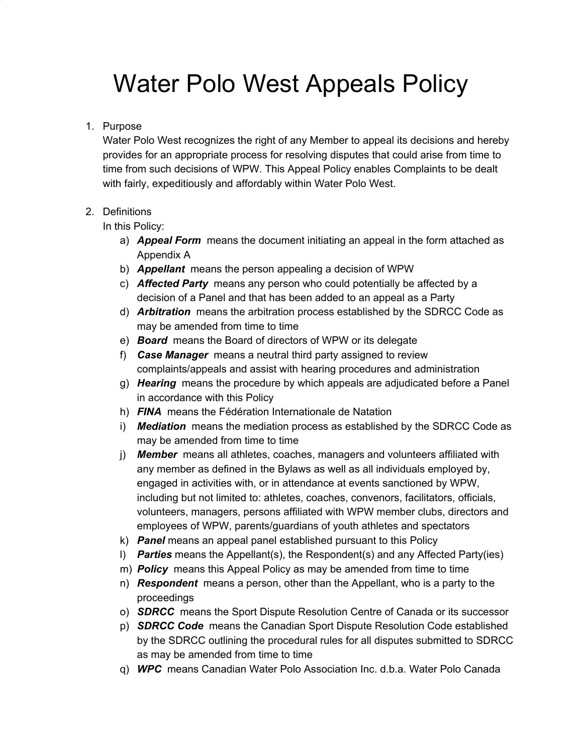# Water Polo West Appeals Policy

#### 1. Purpose

Water Polo West recognizes the right of any Member to appeal its decisions and hereby provides for an appropriate process for resolving disputes that could arise from time to time from such decisions of WPW. This Appeal Policy enables Complaints to be dealt with fairly, expeditiously and affordably within Water Polo West.

#### 2. Definitions

In this Policy:

- a) *Appeal Form* means the document initiating an appeal in the form attached as Appendix A
- b) *Appellant* means the person appealing a decision of WPW
- c) *Affected Party* means any person who could potentially be affected by a decision of a Panel and that has been added to an appeal as a Party
- d) *Arbitration* means the arbitration process established by the SDRCC Code as may be amended from time to time
- e) *Board* means the Board of directors of WPW or its delegate
- f) *Case Manager* means a neutral third party assigned to review complaints/appeals and assist with hearing procedures and administration
- g) *Hearing* means the procedure by which appeals are adjudicated before a Panel in accordance with this Policy
- h) *FINA* means the Fédération Internationale de Natation
- i) *Mediation* means the mediation process as established by the SDRCC Code as may be amended from time to time
- j) *Member* means all athletes, coaches, managers and volunteers affiliated with any member as defined in the Bylaws as well as all individuals employed by, engaged in activities with, or in attendance at events sanctioned by WPW, including but not limited to: athletes, coaches, convenors, facilitators, officials, volunteers, managers, persons affiliated with WPW member clubs, directors and employees of WPW, parents/guardians of youth athletes and spectators
- k) *Panel* means an appeal panel established pursuant to this Policy
- l) *Parties* means the Appellant(s), the Respondent(s) and any Affected Party(ies)
- m) *Policy* means this Appeal Policy as may be amended from time to time
- n) *Respondent* means a person, other than the Appellant, who is a party to the proceedings
- o) *SDRCC* means the Sport Dispute Resolution Centre of Canada or its successor
- p) *SDRCC Code* means the Canadian Sport Dispute Resolution Code established by the SDRCC outlining the procedural rules for all disputes submitted to SDRCC as may be amended from time to time
- q) *WPC* means Canadian Water Polo Association Inc. d.b.a. Water Polo Canada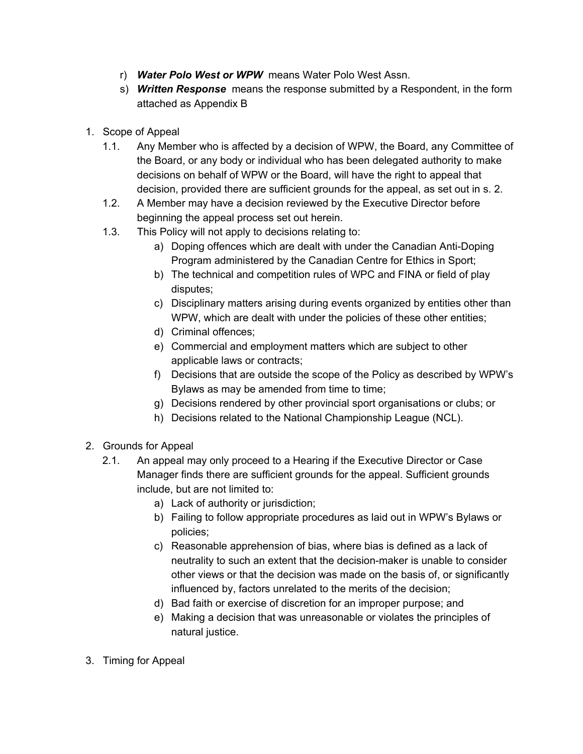- r) *Water Polo West or WPW* means Water Polo West Assn.
- s) *Written Response* means the response submitted by a Respondent, in the form attached as Appendix B
- 1. Scope of Appeal
	- 1.1. Any Member who is affected by a decision of WPW, the Board, any Committee of the Board, or any body or individual who has been delegated authority to make decisions on behalf of WPW or the Board, will have the right to appeal that decision, provided there are sufficient grounds for the appeal, as set out in s. 2.
	- 1.2. A Member may have a decision reviewed by the Executive Director before beginning the appeal process set out herein.
	- 1.3. This Policy will not apply to decisions relating to:
		- a) Doping offences which are dealt with under the Canadian Anti-Doping Program administered by the Canadian Centre for Ethics in Sport;
		- b) The technical and competition rules of WPC and FINA or field of play disputes;
		- c) Disciplinary matters arising during events organized by entities other than WPW, which are dealt with under the policies of these other entities;
		- d) Criminal offences;
		- e) Commercial and employment matters which are subject to other applicable laws or contracts;
		- f) Decisions that are outside the scope of the Policy as described by WPW's Bylaws as may be amended from time to time;
		- g) Decisions rendered by other provincial sport organisations or clubs; or
		- h) Decisions related to the National Championship League (NCL).
- 2. Grounds for Appeal
	- 2.1. An appeal may only proceed to a Hearing if the Executive Director or Case Manager finds there are sufficient grounds for the appeal. Sufficient grounds include, but are not limited to:
		- a) Lack of authority or jurisdiction;
		- b) Failing to follow appropriate procedures as laid out in WPW's Bylaws or policies;
		- c) Reasonable apprehension of bias, where bias is defined as a lack of neutrality to such an extent that the decision-maker is unable to consider other views or that the decision was made on the basis of, or significantly influenced by, factors unrelated to the merits of the decision;
		- d) Bad faith or exercise of discretion for an improper purpose; and
		- e) Making a decision that was unreasonable or violates the principles of natural justice.
- 3. Timing for Appeal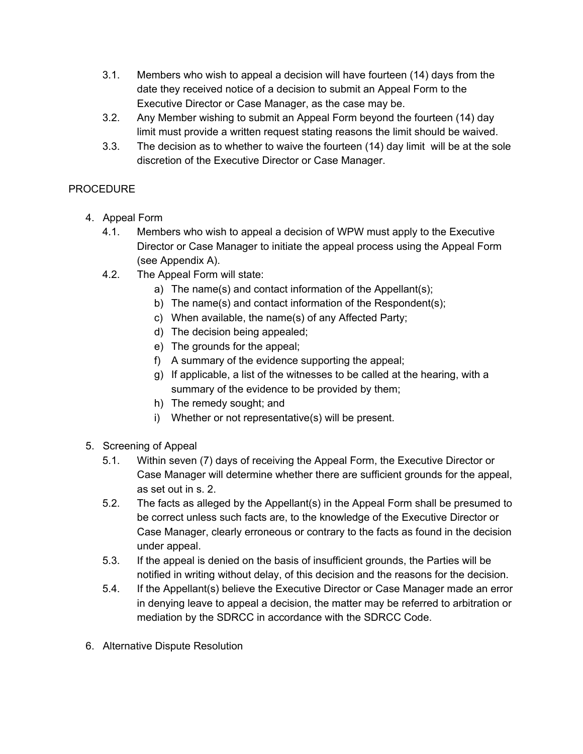- 3.1. Members who wish to appeal a decision will have fourteen (14) days from the date they received notice of a decision to submit an Appeal Form to the Executive Director or Case Manager, as the case may be.
- 3.2. Any Member wishing to submit an Appeal Form beyond the fourteen (14) day limit must provide a written request stating reasons the limit should be waived.
- 3.3. The decision as to whether to waive the fourteen (14) day limit will be at the sole discretion of the Executive Director or Case Manager.

#### PROCEDURE

- 4. Appeal Form
	- 4.1. Members who wish to appeal a decision of WPW must apply to the Executive Director or Case Manager to initiate the appeal process using the Appeal Form (see Appendix A).
	- 4.2. The Appeal Form will state:
		- a) The name(s) and contact information of the Appellant(s);
		- b) The name(s) and contact information of the Respondent(s);
		- c) When available, the name(s) of any Affected Party;
		- d) The decision being appealed;
		- e) The grounds for the appeal;
		- f) A summary of the evidence supporting the appeal;
		- g) If applicable, a list of the witnesses to be called at the hearing, with a summary of the evidence to be provided by them;
		- h) The remedy sought; and
		- i) Whether or not representative(s) will be present.
- 5. Screening of Appeal
	- 5.1. Within seven (7) days of receiving the Appeal Form, the Executive Director or Case Manager will determine whether there are sufficient grounds for the appeal, as set out in s. 2.
	- 5.2. The facts as alleged by the Appellant(s) in the Appeal Form shall be presumed to be correct unless such facts are, to the knowledge of the Executive Director or Case Manager, clearly erroneous or contrary to the facts as found in the decision under appeal.
	- 5.3. If the appeal is denied on the basis of insufficient grounds, the Parties will be notified in writing without delay, of this decision and the reasons for the decision.
	- 5.4. If the Appellant(s) believe the Executive Director or Case Manager made an error in denying leave to appeal a decision, the matter may be referred to arbitration or mediation by the SDRCC in accordance with the SDRCC Code.
- 6. Alternative Dispute Resolution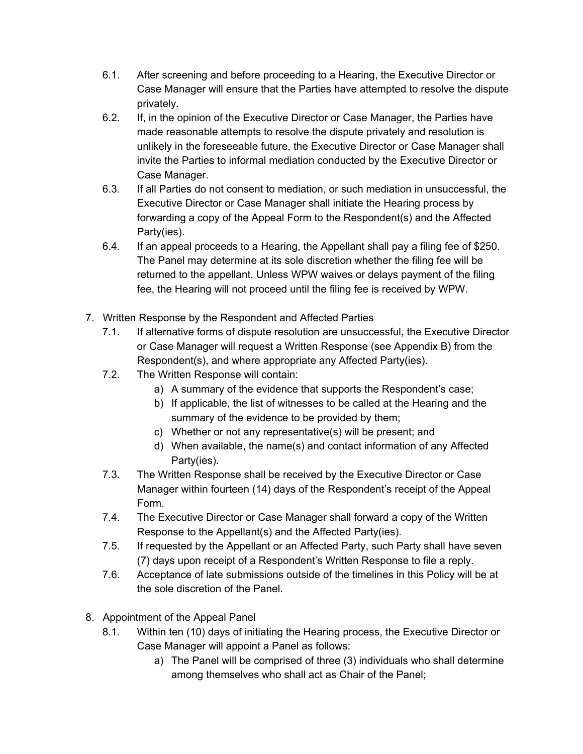- 6.1. After screening and before proceeding to a Hearing, the Executive Director or Case Manager will ensure that the Parties have attempted to resolve the dispute privately.
- 6.2. If, in the opinion of the Executive Director or Case Manager, the Parties have made reasonable attempts to resolve the dispute privately and resolution is unlikely in the foreseeable future, the Executive Director or Case Manager shall invite the Parties to informal mediation conducted by the Executive Director or Case Manager.
- 6.3. If all Parties do not consent to mediation, or such mediation in unsuccessful, the Executive Director or Case Manager shall initiate the Hearing process by forwarding a copy of the Appeal Form to the Respondent(s) and the Affected Party(ies).
- 6.4. If an appeal proceeds to a Hearing, the Appellant shall pay a filing fee of \$250. The Panel may determine at its sole discretion whether the filing fee will be returned to the appellant. Unless WPW waives or delays payment of the filing fee, the Hearing will not proceed until the filing fee is received by WPW.
- 7. Written Response by the Respondent and Affected Parties
	- 7.1. If alternative forms of dispute resolution are unsuccessful, the Executive Director or Case Manager will request a Written Response (see Appendix B) from the Respondent(s), and where appropriate any Affected Party(ies).
	- 7.2. The Written Response will contain:
		- a) A summary of the evidence that supports the Respondent's case;
		- b) If applicable, the list of witnesses to be called at the Hearing and the summary of the evidence to be provided by them;
		- c) Whether or not any representative(s) will be present; and
		- d) When available, the name(s) and contact information of any Affected Party(ies).
	- 7.3. The Written Response shall be received by the Executive Director or Case Manager within fourteen (14) days of the Respondent's receipt of the Appeal Form.
	- 7.4. The Executive Director or Case Manager shall forward a copy of the Written Response to the Appellant(s) and the Affected Party(ies).
	- 7.5. If requested by the Appellant or an Affected Party, such Party shall have seven (7) days upon receipt of a Respondent's Written Response to file a reply.
	- 7.6. Acceptance of late submissions outside of the timelines in this Policy will be at the sole discretion of the Panel.
- 8. Appointment of the Appeal Panel
	- 8.1. Within ten (10) days of initiating the Hearing process, the Executive Director or Case Manager will appoint a Panel as follows:
		- a) The Panel will be comprised of three (3) individuals who shall determine among themselves who shall act as Chair of the Panel;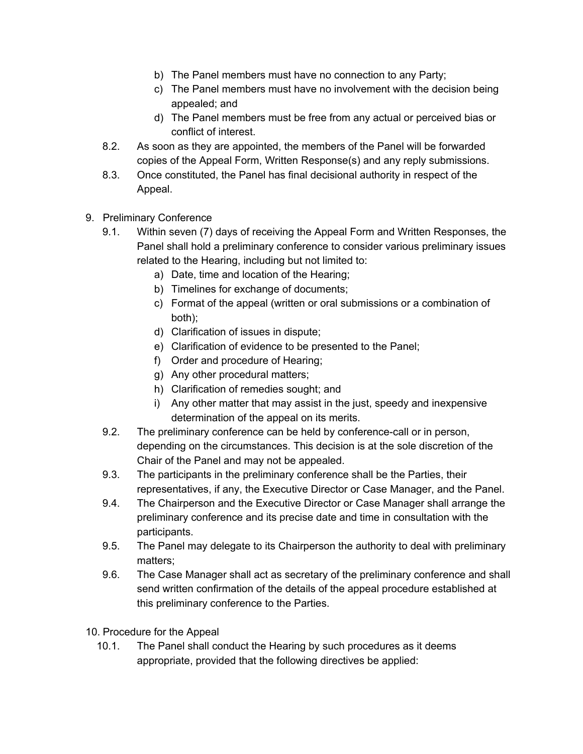- b) The Panel members must have no connection to any Party;
- c) The Panel members must have no involvement with the decision being appealed; and
- d) The Panel members must be free from any actual or perceived bias or conflict of interest.
- 8.2. As soon as they are appointed, the members of the Panel will be forwarded copies of the Appeal Form, Written Response(s) and any reply submissions.
- 8.3. Once constituted, the Panel has final decisional authority in respect of the Appeal.
- 9. Preliminary Conference
	- 9.1. Within seven (7) days of receiving the Appeal Form and Written Responses, the Panel shall hold a preliminary conference to consider various preliminary issues related to the Hearing, including but not limited to:
		- a) Date, time and location of the Hearing;
		- b) Timelines for exchange of documents;
		- c) Format of the appeal (written or oral submissions or a combination of both);
		- d) Clarification of issues in dispute;
		- e) Clarification of evidence to be presented to the Panel;
		- f) Order and procedure of Hearing;
		- g) Any other procedural matters;
		- h) Clarification of remedies sought; and
		- i) Any other matter that may assist in the just, speedy and inexpensive determination of the appeal on its merits.
	- 9.2. The preliminary conference can be held by conference-call or in person, depending on the circumstances. This decision is at the sole discretion of the Chair of the Panel and may not be appealed.
	- 9.3. The participants in the preliminary conference shall be the Parties, their representatives, if any, the Executive Director or Case Manager, and the Panel.
	- 9.4. The Chairperson and the Executive Director or Case Manager shall arrange the preliminary conference and its precise date and time in consultation with the participants.
	- 9.5. The Panel may delegate to its Chairperson the authority to deal with preliminary matters;
	- 9.6. The Case Manager shall act as secretary of the preliminary conference and shall send written confirmation of the details of the appeal procedure established at this preliminary conference to the Parties.
- 10. Procedure for the Appeal
	- 10.1. The Panel shall conduct the Hearing by such procedures as it deems appropriate, provided that the following directives be applied: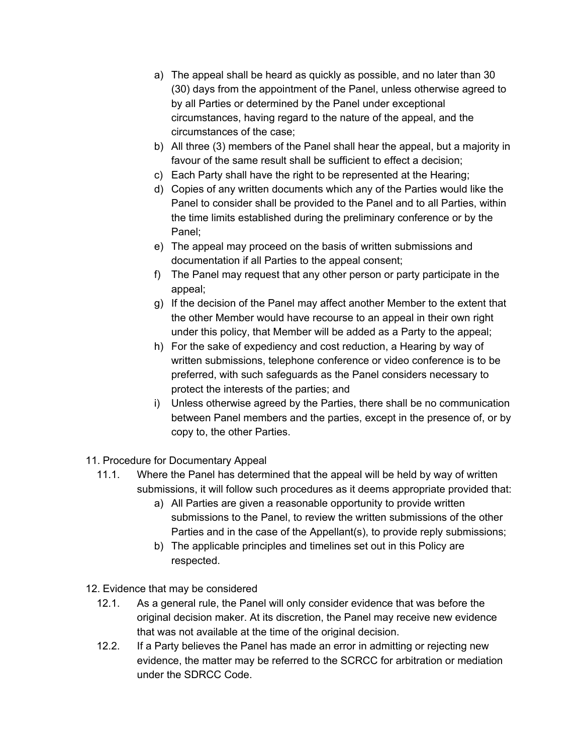- a) The appeal shall be heard as quickly as possible, and no later than 30 (30) days from the appointment of the Panel, unless otherwise agreed to by all Parties or determined by the Panel under exceptional circumstances, having regard to the nature of the appeal, and the circumstances of the case;
- b) All three (3) members of the Panel shall hear the appeal, but a majority in favour of the same result shall be sufficient to effect a decision;
- c) Each Party shall have the right to be represented at the Hearing;
- d) Copies of any written documents which any of the Parties would like the Panel to consider shall be provided to the Panel and to all Parties, within the time limits established during the preliminary conference or by the Panel;
- e) The appeal may proceed on the basis of written submissions and documentation if all Parties to the appeal consent;
- f) The Panel may request that any other person or party participate in the appeal;
- g) If the decision of the Panel may affect another Member to the extent that the other Member would have recourse to an appeal in their own right under this policy, that Member will be added as a Party to the appeal;
- h) For the sake of expediency and cost reduction, a Hearing by way of written submissions, telephone conference or video conference is to be preferred, with such safeguards as the Panel considers necessary to protect the interests of the parties; and
- i) Unless otherwise agreed by the Parties, there shall be no communication between Panel members and the parties, except in the presence of, or by copy to, the other Parties.
- 11. Procedure for Documentary Appeal
	- 11.1. Where the Panel has determined that the appeal will be held by way of written submissions, it will follow such procedures as it deems appropriate provided that:
		- a) All Parties are given a reasonable opportunity to provide written submissions to the Panel, to review the written submissions of the other Parties and in the case of the Appellant(s), to provide reply submissions;
		- b) The applicable principles and timelines set out in this Policy are respected.
- 12. Evidence that may be considered
	- 12.1. As a general rule, the Panel will only consider evidence that was before the original decision maker. At its discretion, the Panel may receive new evidence that was not available at the time of the original decision.
	- 12.2. If a Party believes the Panel has made an error in admitting or rejecting new evidence, the matter may be referred to the SCRCC for arbitration or mediation under the SDRCC Code.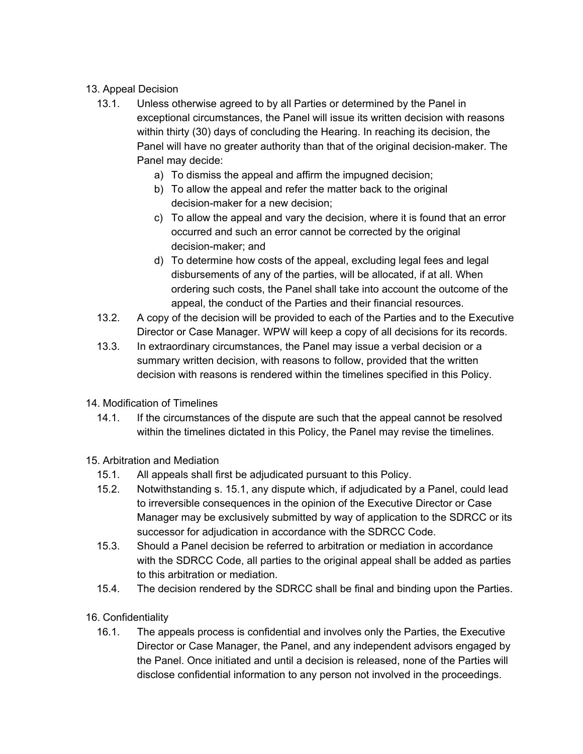#### 13. Appeal Decision

- 13.1. Unless otherwise agreed to by all Parties or determined by the Panel in exceptional circumstances, the Panel will issue its written decision with reasons within thirty (30) days of concluding the Hearing. In reaching its decision, the Panel will have no greater authority than that of the original decision-maker. The Panel may decide:
	- a) To dismiss the appeal and affirm the impugned decision;
	- b) To allow the appeal and refer the matter back to the original decision-maker for a new decision;
	- c) To allow the appeal and vary the decision, where it is found that an error occurred and such an error cannot be corrected by the original decision-maker; and
	- d) To determine how costs of the appeal, excluding legal fees and legal disbursements of any of the parties, will be allocated, if at all. When ordering such costs, the Panel shall take into account the outcome of the appeal, the conduct of the Parties and their financial resources.
- 13.2. A copy of the decision will be provided to each of the Parties and to the Executive Director or Case Manager. WPW will keep a copy of all decisions for its records.
- 13.3. In extraordinary circumstances, the Panel may issue a verbal decision or a summary written decision, with reasons to follow, provided that the written decision with reasons is rendered within the timelines specified in this Policy.
- 14. Modification of Timelines
	- 14.1. If the circumstances of the dispute are such that the appeal cannot be resolved within the timelines dictated in this Policy, the Panel may revise the timelines.
- 15. Arbitration and Mediation
	- 15.1. All appeals shall first be adjudicated pursuant to this Policy.
	- 15.2. Notwithstanding s. 15.1, any dispute which, if adjudicated by a Panel, could lead to irreversible consequences in the opinion of the Executive Director or Case Manager may be exclusively submitted by way of application to the SDRCC or its successor for adjudication in accordance with the SDRCC Code.
	- 15.3. Should a Panel decision be referred to arbitration or mediation in accordance with the SDRCC Code, all parties to the original appeal shall be added as parties to this arbitration or mediation.
	- 15.4. The decision rendered by the SDRCC shall be final and binding upon the Parties.
- 16. Confidentiality
	- 16.1. The appeals process is confidential and involves only the Parties, the Executive Director or Case Manager, the Panel, and any independent advisors engaged by the Panel. Once initiated and until a decision is released, none of the Parties will disclose confidential information to any person not involved in the proceedings.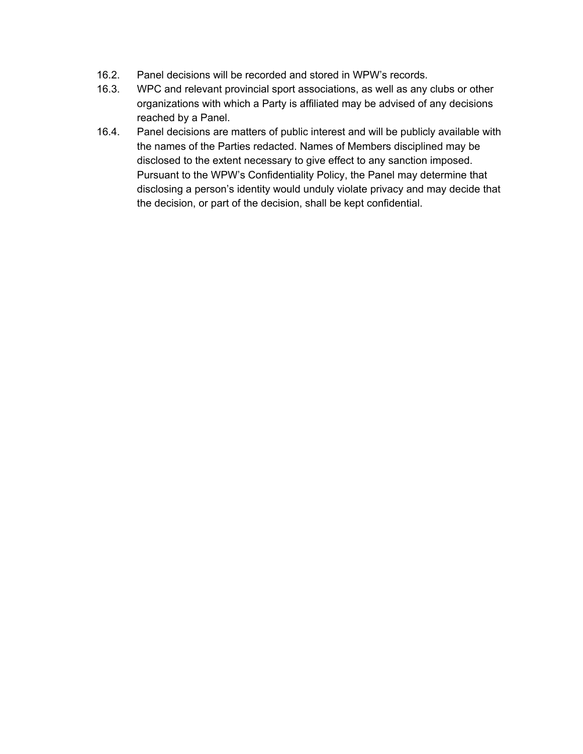- 16.2. Panel decisions will be recorded and stored in WPW's records.
- 16.3. WPC and relevant provincial sport associations, as well as any clubs or other organizations with which a Party is affiliated may be advised of any decisions reached by a Panel.
- 16.4. Panel decisions are matters of public interest and will be publicly available with the names of the Parties redacted. Names of Members disciplined may be disclosed to the extent necessary to give effect to any sanction imposed. Pursuant to the WPW's Confidentiality Policy, the Panel may determine that disclosing a person's identity would unduly violate privacy and may decide that the decision, or part of the decision, shall be kept confidential.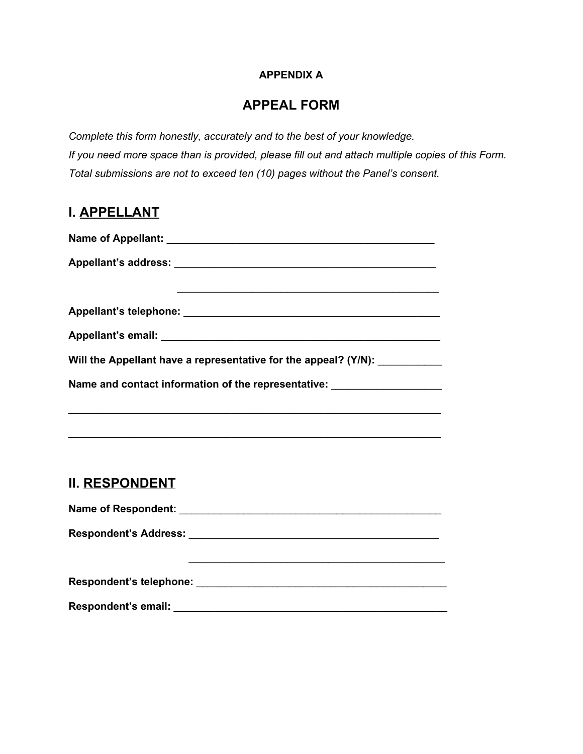#### **APPENDIX A**

## **APPEAL FORM**

*Complete this form honestly, accurately and to the best of your knowledge. If you need more space than is provided, please fill out and attach multiple copies of this Form. Total submissions are not to exceed ten (10) pages without the Panel's consent.*

## **I. APPELLANT**

| Will the Appellant have a representative for the appeal? (Y/N):                  |
|----------------------------------------------------------------------------------|
| Name and contact information of the representative: ____________________________ |
|                                                                                  |

# **II. RESPONDENT**

**Name of Respondent:** \_\_\_\_\_\_\_\_\_\_\_\_\_\_\_\_\_\_\_\_\_\_\_\_\_\_\_\_\_\_\_\_\_\_\_\_\_\_\_\_\_\_\_\_\_

\_\_\_\_\_\_\_\_\_\_\_\_\_\_\_\_\_\_\_\_\_\_\_\_\_\_\_\_\_\_\_\_\_\_\_\_\_\_\_\_\_\_\_\_\_\_\_\_\_\_\_\_\_\_\_\_\_\_\_\_\_\_\_\_

**Respondent's Address:** \_\_\_\_\_\_\_\_\_\_\_\_\_\_\_\_\_\_\_\_\_\_\_\_\_\_\_\_\_\_\_\_\_\_\_\_\_\_\_\_\_\_\_

**Respondent's telephone:** \_\_\_\_\_\_\_\_\_\_\_\_\_\_\_\_\_\_\_\_\_\_\_\_\_\_\_\_\_\_\_\_\_\_\_\_\_\_\_\_\_\_\_

\_\_\_\_\_\_\_\_\_\_\_\_\_\_\_\_\_\_\_\_\_\_\_\_\_\_\_\_\_\_\_\_\_\_\_\_\_\_\_\_\_\_\_\_

**Respondent's email:** \_\_\_\_\_\_\_\_\_\_\_\_\_\_\_\_\_\_\_\_\_\_\_\_\_\_\_\_\_\_\_\_\_\_\_\_\_\_\_\_\_\_\_\_\_\_\_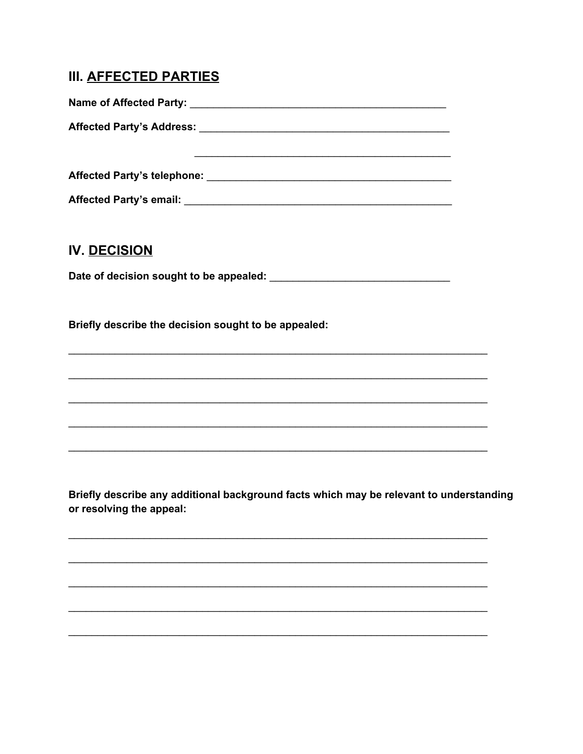# **III. AFFECTED PARTIES**

Affected Party's email: Affected Party's email:

# **IV. DECISION**

Briefly describe the decision sought to be appealed:

Briefly describe any additional background facts which may be relevant to understanding or resolving the appeal: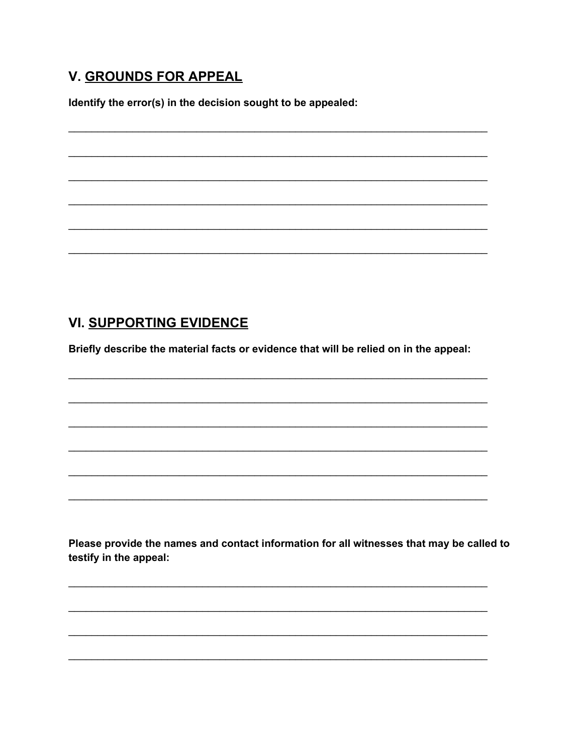# **V. GROUNDS FOR APPEAL**

Identify the error(s) in the decision sought to be appealed:

# **VI. SUPPORTING EVIDENCE**

Briefly describe the material facts or evidence that will be relied on in the appeal:

Please provide the names and contact information for all witnesses that may be called to testify in the appeal: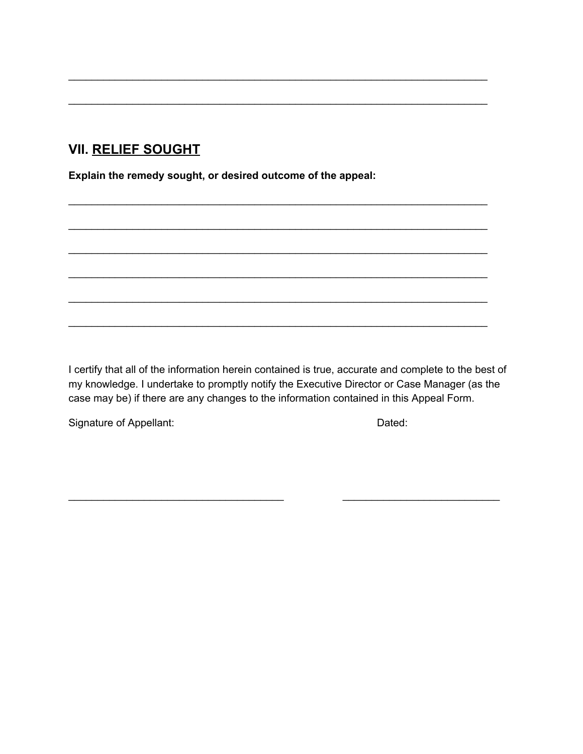# **VII. RELIEF SOUGHT**

**Explain the remedy sought, or desired outcome of the appeal:**

I certify that all of the information herein contained is true, accurate and complete to the best of my knowledge. I undertake to promptly notify the Executive Director or Case Manager (as the case may be) if there are any changes to the information contained in this Appeal Form.

 $\overline{\phantom{a}}$  , and the contribution of the contribution of the contribution of the contribution of the contribution of the contribution of the contribution of the contribution of the contribution of the contribution of the

\_\_\_\_\_\_\_\_\_\_\_\_\_\_\_\_\_\_\_\_\_\_\_\_\_\_\_\_\_\_\_\_\_\_\_\_\_\_\_\_\_\_\_\_\_\_\_\_\_\_\_\_\_\_\_\_\_\_\_\_\_\_\_\_\_\_\_\_\_\_\_\_

\_\_\_\_\_\_\_\_\_\_\_\_\_\_\_\_\_\_\_\_\_\_\_\_\_\_\_\_\_\_\_\_\_\_\_\_\_\_\_\_\_\_\_\_\_\_\_\_\_\_\_\_\_\_\_\_\_\_\_\_\_\_\_\_\_\_\_\_\_\_\_\_

\_\_\_\_\_\_\_\_\_\_\_\_\_\_\_\_\_\_\_\_\_\_\_\_\_\_\_\_\_\_\_\_\_\_\_\_\_\_\_\_\_\_\_\_\_\_\_\_\_\_\_\_\_\_\_\_\_\_\_\_\_\_\_\_\_\_\_\_\_\_\_\_

\_\_\_\_\_\_\_\_\_\_\_\_\_\_\_\_\_\_\_\_\_\_\_\_\_\_\_\_\_\_\_\_\_\_\_\_\_\_\_\_\_\_\_\_\_\_\_\_\_\_\_\_\_\_\_\_\_\_\_\_\_\_\_\_\_\_\_\_\_\_\_\_

\_\_\_\_\_\_\_\_\_\_\_\_\_\_\_\_\_\_\_\_\_\_\_\_\_\_\_\_\_\_\_\_\_\_\_\_\_\_\_\_\_\_\_\_\_\_\_\_\_\_\_\_\_\_\_\_\_\_\_\_\_\_\_\_\_\_\_\_\_\_\_\_

\_\_\_\_\_\_\_\_\_\_\_\_\_\_\_\_\_\_\_\_\_\_\_\_\_\_\_\_\_\_\_\_\_\_\_\_\_\_\_\_\_\_\_\_\_\_\_\_\_\_\_\_\_\_\_\_\_\_\_\_\_\_\_\_\_\_\_\_\_\_\_\_

\_\_\_\_\_\_\_\_\_\_\_\_\_\_\_\_\_\_\_\_\_\_\_\_\_\_\_\_\_\_\_\_\_\_\_\_\_\_\_\_\_\_\_\_\_\_\_\_\_\_\_\_\_\_\_\_\_\_\_\_\_\_\_\_\_\_\_\_\_\_\_\_

\_\_\_\_\_\_\_\_\_\_\_\_\_\_\_\_\_\_\_\_\_\_\_\_\_\_\_\_\_\_\_\_\_\_\_\_\_\_\_\_\_\_\_\_\_\_\_\_\_\_\_\_\_\_\_\_\_\_\_\_\_\_\_\_\_\_\_\_\_\_\_\_

Signature of Appellant: Dated: Dated: Dated: Dated: Dated: Dated: Dated: Dated: Dated: Dated: Dated: Dated: Dated:  $\frac{1}{2}$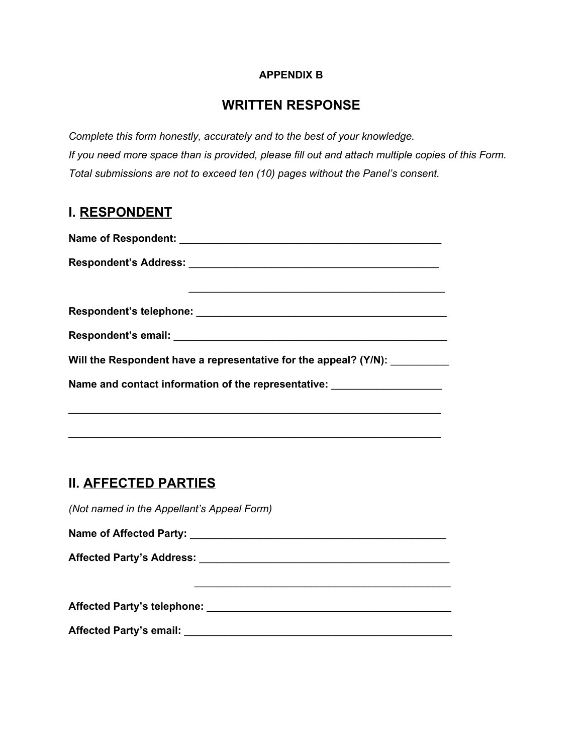#### **APPENDIX B**

## **WRITTEN RESPONSE**

*Complete this form honestly, accurately and to the best of your knowledge. If you need more space than is provided, please fill out and attach multiple copies of this Form. Total submissions are not to exceed ten (10) pages without the Panel's consent.*

## **I. RESPONDENT**

| Will the Respondent have a representative for the appeal? (Y/N):                 |
|----------------------------------------------------------------------------------|
| Name and contact information of the representative: ____________________________ |
|                                                                                  |

\_\_\_\_\_\_\_\_\_\_\_\_\_\_\_\_\_\_\_\_\_\_\_\_\_\_\_\_\_\_\_\_\_\_\_\_\_\_\_\_\_\_\_\_\_\_\_\_\_\_\_\_\_\_\_\_\_\_\_\_\_\_\_\_

# **II. AFFECTED PARTIES**

*(Not named in the Appellant's Appeal Form)*

**Name of Affected Party:** \_\_\_\_\_\_\_\_\_\_\_\_\_\_\_\_\_\_\_\_\_\_\_\_\_\_\_\_\_\_\_\_\_\_\_\_\_\_\_\_\_\_\_\_

**Affected Party's Address:** \_\_\_\_\_\_\_\_\_\_\_\_\_\_\_\_\_\_\_\_\_\_\_\_\_\_\_\_\_\_\_\_\_\_\_\_\_\_\_\_\_\_\_

\_\_\_\_\_\_\_\_\_\_\_\_\_\_\_\_\_\_\_\_\_\_\_\_\_\_\_\_\_\_\_\_\_\_\_\_\_\_\_\_\_\_\_\_

**Affected Party's telephone:** \_\_\_\_\_\_\_\_\_\_\_\_\_\_\_\_\_\_\_\_\_\_\_\_\_\_\_\_\_\_\_\_\_\_\_\_\_\_\_\_\_\_

**Affected Party's email:** \_\_\_\_\_\_\_\_\_\_\_\_\_\_\_\_\_\_\_\_\_\_\_\_\_\_\_\_\_\_\_\_\_\_\_\_\_\_\_\_\_\_\_\_\_\_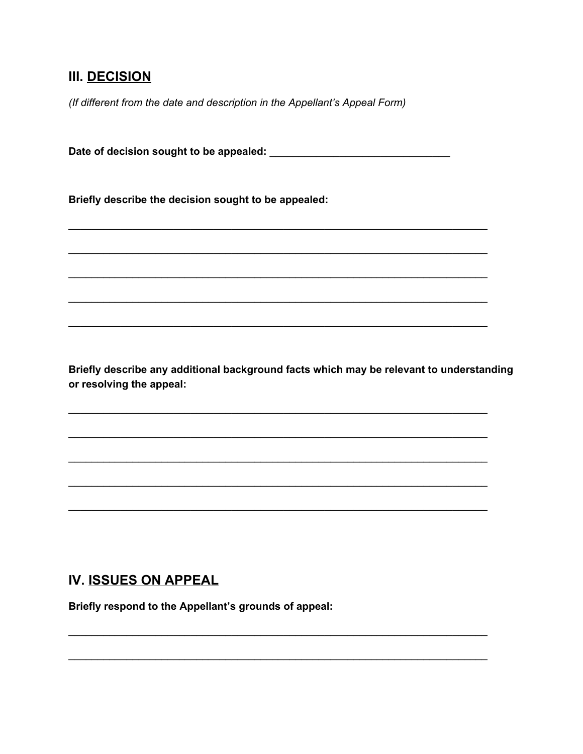## **III. DECISION**

(If different from the date and description in the Appellant's Appeal Form)

Briefly describe the decision sought to be appealed:

Briefly describe any additional background facts which may be relevant to understanding or resolving the appeal:

## IV. ISSUES ON APPEAL

Briefly respond to the Appellant's grounds of appeal: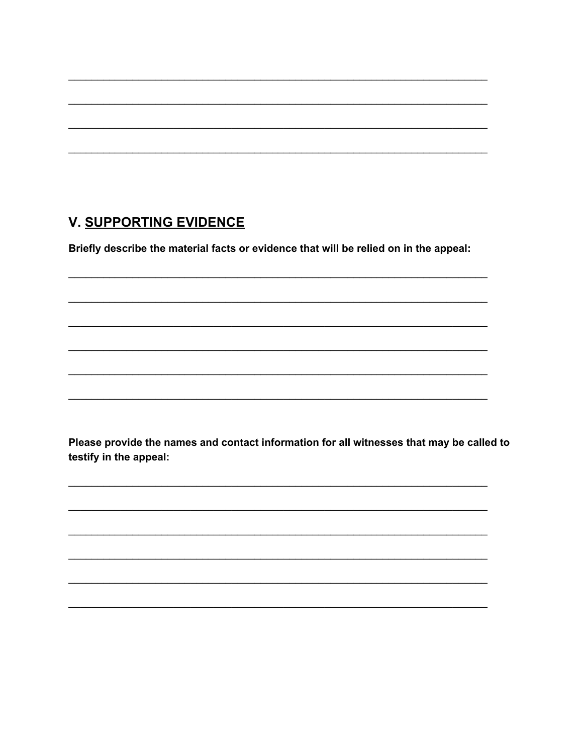# **V. SUPPORTING EVIDENCE**

Briefly describe the material facts or evidence that will be relied on in the appeal:

Please provide the names and contact information for all witnesses that may be called to testify in the appeal: